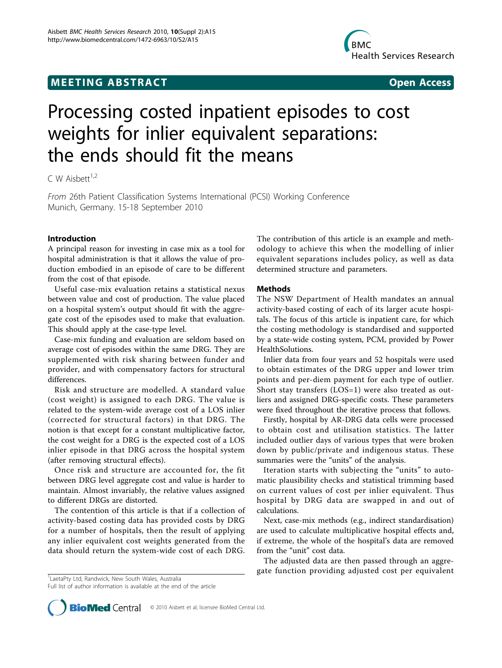## **MEETING ABSTRACT CONSUMING ABSTRACT**



# Processing costed inpatient episodes to cost weights for inlier equivalent separations: the ends should fit the means

 $C W$  Aishett<sup>1,2</sup>

From 26th Patient Classification Systems International (PCSI) Working Conference Munich, Germany. 15-18 September 2010

### Introduction

A principal reason for investing in case mix as a tool for hospital administration is that it allows the value of production embodied in an episode of care to be different from the cost of that episode.

Useful case-mix evaluation retains a statistical nexus between value and cost of production. The value placed on a hospital system's output should fit with the aggregate cost of the episodes used to make that evaluation. This should apply at the case-type level.

Case-mix funding and evaluation are seldom based on average cost of episodes within the same DRG. They are supplemented with risk sharing between funder and provider, and with compensatory factors for structural differences.

Risk and structure are modelled. A standard value (cost weight) is assigned to each DRG. The value is related to the system-wide average cost of a LOS inlier (corrected for structural factors) in that DRG. The notion is that except for a constant multiplicative factor, the cost weight for a DRG is the expected cost of a LOS inlier episode in that DRG across the hospital system (after removing structural effects).

Once risk and structure are accounted for, the fit between DRG level aggregate cost and value is harder to maintain. Almost invariably, the relative values assigned to different DRGs are distorted.

The contention of this article is that if a collection of activity-based costing data has provided costs by DRG for a number of hospitals, then the result of applying any inlier equivalent cost weights generated from the data should return the system-wide cost of each DRG.

The contribution of this article is an example and methodology to achieve this when the modelling of inlier equivalent separations includes policy, as well as data determined structure and parameters.

#### Methods

The NSW Department of Health mandates an annual activity-based costing of each of its larger acute hospitals. The focus of this article is inpatient care, for which the costing methodology is standardised and supported by a state-wide costing system, PCM, provided by Power HealthSolutions.

Inlier data from four years and 52 hospitals were used to obtain estimates of the DRG upper and lower trim points and per-diem payment for each type of outlier. Short stay transfers (LOS=1) were also treated as outliers and assigned DRG-specific costs. These parameters were fixed throughout the iterative process that follows.

Firstly, hospital by AR-DRG data cells were processed to obtain cost and utilisation statistics. The latter included outlier days of various types that were broken down by public/private and indigenous status. These summaries were the "units" of the analysis.

Iteration starts with subjecting the "units" to automatic plausibility checks and statistical trimming based on current values of cost per inlier equivalent. Thus hospital by DRG data are swapped in and out of calculations.

Next, case-mix methods (e.g., indirect standardisation) are used to calculate multiplicative hospital effects and, if extreme, the whole of the hospital's data are removed from the "unit" cost data.

The adjusted data are then passed through an aggregate function providing adjusted cost per equivalent

Full list of author information is available at the end of the article



<sup>&</sup>lt;sup>1</sup> LaetaPty Ltd, Randwick, New South Wales, Australia